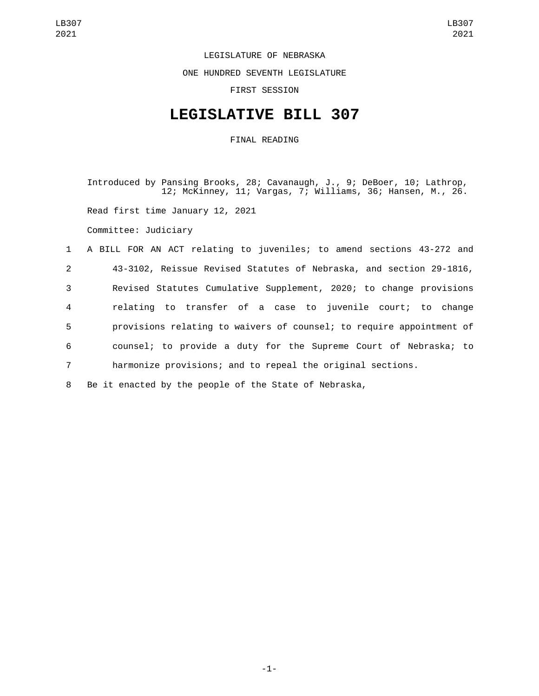LEGISLATURE OF NEBRASKA

ONE HUNDRED SEVENTH LEGISLATURE

FIRST SESSION

## **LEGISLATIVE BILL 307**

FINAL READING

Introduced by Pansing Brooks, 28; Cavanaugh, J., 9; DeBoer, 10; Lathrop, 12; McKinney, 11; Vargas, 7; Williams, 36; Hansen, M., 26. Read first time January 12, 2021 Committee: Judiciary 1 A BILL FOR AN ACT relating to juveniles; to amend sections 43-272 and 2 43-3102, Reissue Revised Statutes of Nebraska, and section 29-1816,

 Revised Statutes Cumulative Supplement, 2020; to change provisions relating to transfer of a case to juvenile court; to change provisions relating to waivers of counsel; to require appointment of counsel; to provide a duty for the Supreme Court of Nebraska; to harmonize provisions; and to repeal the original sections.

8 Be it enacted by the people of the State of Nebraska,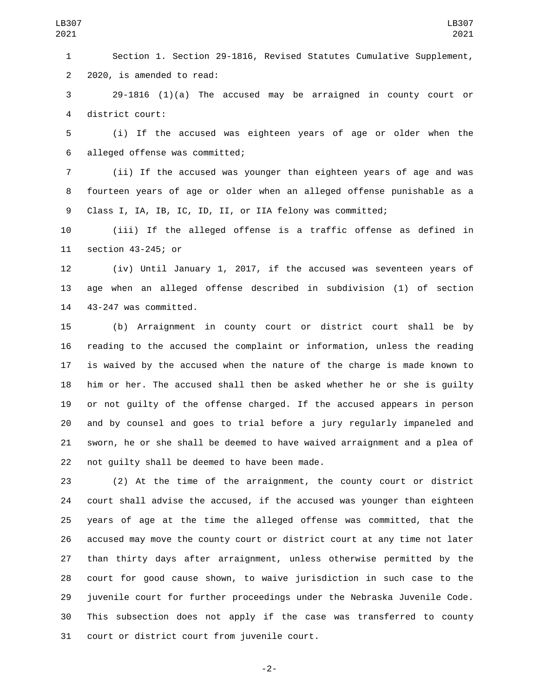Section 1. Section 29-1816, Revised Statutes Cumulative Supplement, 2 2020, is amended to read:

 29-1816 (1)(a) The accused may be arraigned in county court or 4 district court:

 (i) If the accused was eighteen years of age or older when the alleged offense was committed;6

 (ii) If the accused was younger than eighteen years of age and was fourteen years of age or older when an alleged offense punishable as a Class I, IA, IB, IC, ID, II, or IIA felony was committed;

 (iii) If the alleged offense is a traffic offense as defined in 11 section 43-245; or

 (iv) Until January 1, 2017, if the accused was seventeen years of age when an alleged offense described in subdivision (1) of section 43-247 was committed.

 (b) Arraignment in county court or district court shall be by reading to the accused the complaint or information, unless the reading is waived by the accused when the nature of the charge is made known to him or her. The accused shall then be asked whether he or she is guilty or not guilty of the offense charged. If the accused appears in person and by counsel and goes to trial before a jury regularly impaneled and sworn, he or she shall be deemed to have waived arraignment and a plea of 22 not quilty shall be deemed to have been made.

 (2) At the time of the arraignment, the county court or district court shall advise the accused, if the accused was younger than eighteen years of age at the time the alleged offense was committed, that the accused may move the county court or district court at any time not later than thirty days after arraignment, unless otherwise permitted by the court for good cause shown, to waive jurisdiction in such case to the juvenile court for further proceedings under the Nebraska Juvenile Code. This subsection does not apply if the case was transferred to county 31 court or district court from juvenile court.

-2-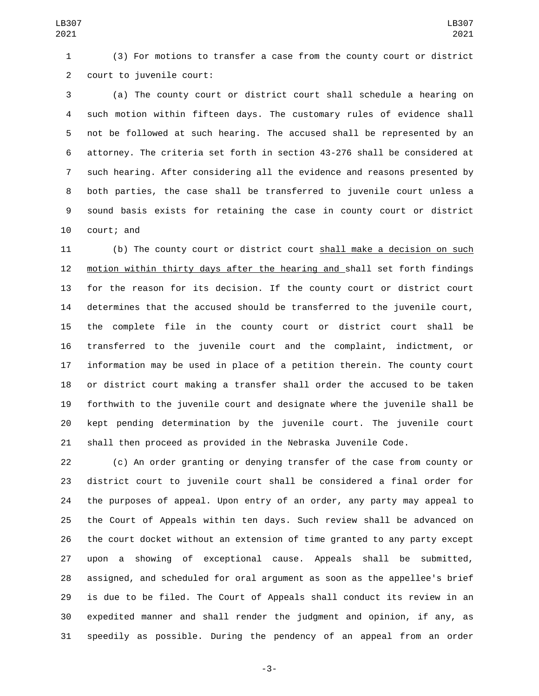(3) For motions to transfer a case from the county court or district 2 court to juvenile court:

 (a) The county court or district court shall schedule a hearing on such motion within fifteen days. The customary rules of evidence shall not be followed at such hearing. The accused shall be represented by an attorney. The criteria set forth in section 43-276 shall be considered at such hearing. After considering all the evidence and reasons presented by both parties, the case shall be transferred to juvenile court unless a sound basis exists for retaining the case in county court or district 10 court; and

 (b) The county court or district court shall make a decision on such motion within thirty days after the hearing and shall set forth findings for the reason for its decision. If the county court or district court determines that the accused should be transferred to the juvenile court, the complete file in the county court or district court shall be transferred to the juvenile court and the complaint, indictment, or information may be used in place of a petition therein. The county court or district court making a transfer shall order the accused to be taken forthwith to the juvenile court and designate where the juvenile shall be kept pending determination by the juvenile court. The juvenile court shall then proceed as provided in the Nebraska Juvenile Code.

 (c) An order granting or denying transfer of the case from county or district court to juvenile court shall be considered a final order for the purposes of appeal. Upon entry of an order, any party may appeal to the Court of Appeals within ten days. Such review shall be advanced on the court docket without an extension of time granted to any party except upon a showing of exceptional cause. Appeals shall be submitted, assigned, and scheduled for oral argument as soon as the appellee's brief is due to be filed. The Court of Appeals shall conduct its review in an expedited manner and shall render the judgment and opinion, if any, as speedily as possible. During the pendency of an appeal from an order

-3-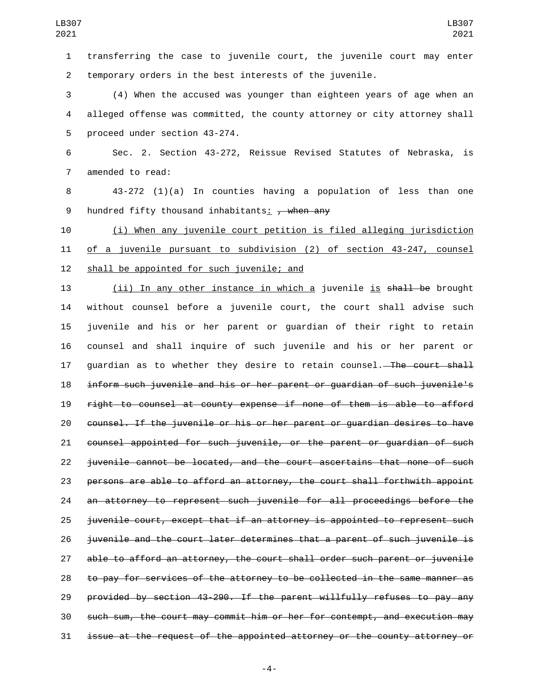transferring the case to juvenile court, the juvenile court may enter temporary orders in the best interests of the juvenile.

 (4) When the accused was younger than eighteen years of age when an alleged offense was committed, the county attorney or city attorney shall 5 proceed under section 43-274.

 Sec. 2. Section 43-272, Reissue Revised Statutes of Nebraska, is 7 amended to read:

 43-272 (1)(a) In counties having a population of less than one 9 hundred fifty thousand inhabitants:  $\frac{1}{2}$  when any

 (i) When any juvenile court petition is filed alleging jurisdiction of a juvenile pursuant to subdivision (2) of section 43-247, counsel 12 shall be appointed for such juvenile; and

13 (ii) In any other instance in which a juvenile is shall be brought without counsel before a juvenile court, the court shall advise such juvenile and his or her parent or guardian of their right to retain counsel and shall inquire of such juvenile and his or her parent or 17 guardian as to whether they desire to retain counsel.<del> The court shall</del> inform such juvenile and his or her parent or guardian of such juvenile's right to counsel at county expense if none of them is able to afford counsel. If the juvenile or his or her parent or guardian desires to have counsel appointed for such juvenile, or the parent or guardian of such juvenile cannot be located, and the court ascertains that none of such persons are able to afford an attorney, the court shall forthwith appoint an attorney to represent such juvenile for all proceedings before the 25 juvenile court, except that if an attorney is appointed to represent such juvenile and the court later determines that a parent of such juvenile is able to afford an attorney, the court shall order such parent or juvenile to pay for services of the attorney to be collected in the same manner as provided by section 43-290. If the parent willfully refuses to pay any such sum, the court may commit him or her for contempt, and execution may issue at the request of the appointed attorney or the county attorney or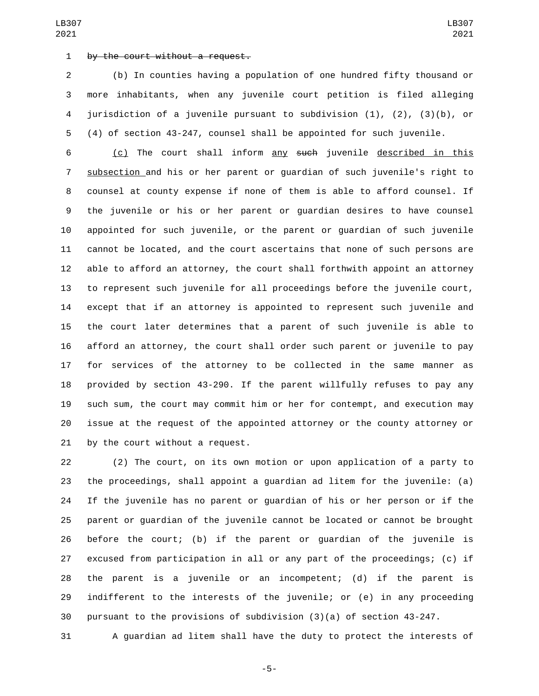## 1 by the court without a request.

 (b) In counties having a population of one hundred fifty thousand or more inhabitants, when any juvenile court petition is filed alleging jurisdiction of a juvenile pursuant to subdivision (1), (2), (3)(b), or (4) of section 43-247, counsel shall be appointed for such juvenile.

 (c) The court shall inform any such juvenile described in this subsection and his or her parent or guardian of such juvenile's right to counsel at county expense if none of them is able to afford counsel. If the juvenile or his or her parent or guardian desires to have counsel appointed for such juvenile, or the parent or guardian of such juvenile cannot be located, and the court ascertains that none of such persons are able to afford an attorney, the court shall forthwith appoint an attorney to represent such juvenile for all proceedings before the juvenile court, except that if an attorney is appointed to represent such juvenile and the court later determines that a parent of such juvenile is able to afford an attorney, the court shall order such parent or juvenile to pay for services of the attorney to be collected in the same manner as provided by section 43-290. If the parent willfully refuses to pay any such sum, the court may commit him or her for contempt, and execution may issue at the request of the appointed attorney or the county attorney or 21 by the court without a request.

 (2) The court, on its own motion or upon application of a party to the proceedings, shall appoint a guardian ad litem for the juvenile: (a) If the juvenile has no parent or guardian of his or her person or if the parent or guardian of the juvenile cannot be located or cannot be brought before the court; (b) if the parent or guardian of the juvenile is excused from participation in all or any part of the proceedings; (c) if the parent is a juvenile or an incompetent; (d) if the parent is indifferent to the interests of the juvenile; or (e) in any proceeding pursuant to the provisions of subdivision (3)(a) of section 43-247.

A guardian ad litem shall have the duty to protect the interests of

-5-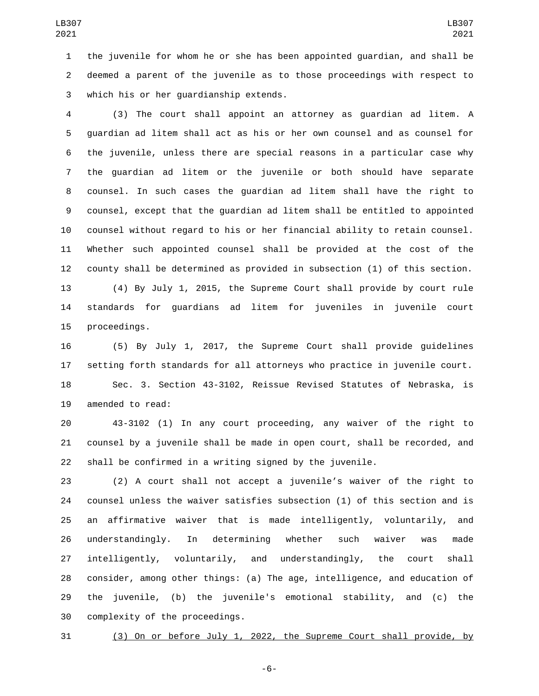the juvenile for whom he or she has been appointed guardian, and shall be deemed a parent of the juvenile as to those proceedings with respect to which his or her guardianship extends.3

 (3) The court shall appoint an attorney as guardian ad litem. A guardian ad litem shall act as his or her own counsel and as counsel for the juvenile, unless there are special reasons in a particular case why the guardian ad litem or the juvenile or both should have separate counsel. In such cases the guardian ad litem shall have the right to counsel, except that the guardian ad litem shall be entitled to appointed counsel without regard to his or her financial ability to retain counsel. Whether such appointed counsel shall be provided at the cost of the county shall be determined as provided in subsection (1) of this section.

 (4) By July 1, 2015, the Supreme Court shall provide by court rule standards for guardians ad litem for juveniles in juvenile court 15 proceedings.

 (5) By July 1, 2017, the Supreme Court shall provide guidelines setting forth standards for all attorneys who practice in juvenile court. Sec. 3. Section 43-3102, Reissue Revised Statutes of Nebraska, is 19 amended to read:

 43-3102 (1) In any court proceeding, any waiver of the right to counsel by a juvenile shall be made in open court, shall be recorded, and shall be confirmed in a writing signed by the juvenile.

 (2) A court shall not accept a juvenile's waiver of the right to counsel unless the waiver satisfies subsection (1) of this section and is an affirmative waiver that is made intelligently, voluntarily, and understandingly. In determining whether such waiver was made intelligently, voluntarily, and understandingly, the court shall consider, among other things: (a) The age, intelligence, and education of the juvenile, (b) the juvenile's emotional stability, and (c) the 30 complexity of the proceedings.

(3) On or before July 1, 2022, the Supreme Court shall provide, by

-6-